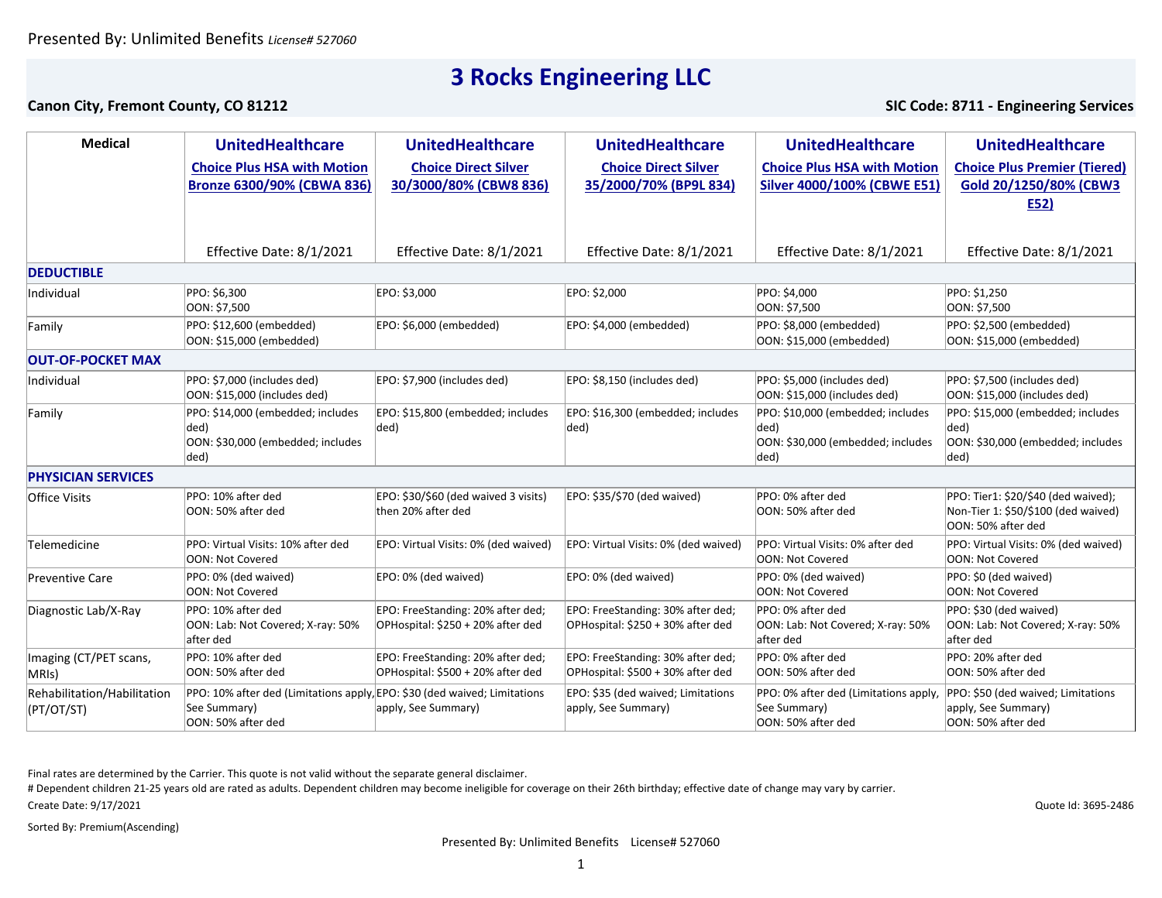### **Canon City, Fremont County, CO 81212 SIC Code: 8711 - Engineering Services**

| <b>Medical</b>                            | <b>UnitedHealthcare</b>                                                                                         | <b>UnitedHealthcare</b>                                                | <b>UnitedHealthcare</b>                                                | <b>UnitedHealthcare</b>                                                                | <b>UnitedHealthcare</b>                                                                          |  |  |
|-------------------------------------------|-----------------------------------------------------------------------------------------------------------------|------------------------------------------------------------------------|------------------------------------------------------------------------|----------------------------------------------------------------------------------------|--------------------------------------------------------------------------------------------------|--|--|
|                                           | <b>Choice Plus HSA with Motion</b><br><b>Bronze 6300/90% (CBWA 836)</b>                                         | <b>Choice Direct Silver</b><br>30/3000/80% (CBW8 836)                  | <b>Choice Direct Silver</b><br>35/2000/70% (BP9L 834)                  | <b>Choice Plus HSA with Motion</b><br><b>Silver 4000/100% (CBWE E51)</b>               | <b>Choice Plus Premier (Tiered)</b><br>Gold 20/1250/80% (CBW3<br>E52)                            |  |  |
|                                           | Effective Date: 8/1/2021                                                                                        | Effective Date: 8/1/2021                                               | Effective Date: 8/1/2021                                               | Effective Date: 8/1/2021                                                               | Effective Date: 8/1/2021                                                                         |  |  |
| <b>DEDUCTIBLE</b>                         |                                                                                                                 |                                                                        |                                                                        |                                                                                        |                                                                                                  |  |  |
| Individual                                | PPO: \$6,300<br>OON: \$7,500                                                                                    | EPO: \$3,000                                                           | EPO: \$2,000                                                           | PPO: \$4,000<br>OON: \$7,500                                                           | PPO: \$1,250<br>OON: \$7,500                                                                     |  |  |
| Family                                    | PPO: \$12,600 (embedded)<br>OON: \$15,000 (embedded)                                                            | EPO: \$6,000 (embedded)                                                | EPO: \$4,000 (embedded)                                                | PPO: \$8,000 (embedded)<br>OON: \$15,000 (embedded)                                    | PPO: \$2,500 (embedded)<br>OON: \$15,000 (embedded)                                              |  |  |
| <b>OUT-OF-POCKET MAX</b>                  |                                                                                                                 |                                                                        |                                                                        |                                                                                        |                                                                                                  |  |  |
| Individual                                | PPO: \$7,000 (includes ded)<br>OON: \$15,000 (includes ded)                                                     | EPO: \$7,900 (includes ded)                                            | EPO: \$8,150 (includes ded)                                            | PPO: \$5,000 (includes ded)<br>OON: \$15,000 (includes ded)                            | PPO: \$7,500 (includes ded)<br>OON: \$15,000 (includes ded)                                      |  |  |
| Family                                    | PPO: \$14,000 (embedded; includes<br>ded)<br>OON: \$30,000 (embedded; includes<br>ded)                          | EPO: \$15,800 (embedded; includes<br>ded)                              | EPO: \$16,300 (embedded; includes<br>ded)                              | PPO: \$10,000 (embedded; includes<br>ded)<br>OON: \$30,000 (embedded; includes<br>ded) | PPO: \$15,000 (embedded; includes<br>ded)<br>OON: \$30,000 (embedded; includes<br>ded)           |  |  |
| <b>PHYSICIAN SERVICES</b>                 |                                                                                                                 |                                                                        |                                                                        |                                                                                        |                                                                                                  |  |  |
| <b>Office Visits</b>                      | PPO: 10% after ded<br>OON: 50% after ded                                                                        | EPO: \$30/\$60 (ded waived 3 visits)<br>then 20% after ded             | EPO: \$35/\$70 (ded waived)                                            | PPO: 0% after ded<br>OON: 50% after ded                                                | PPO: Tier1: \$20/\$40 (ded waived);<br>Non-Tier 1: \$50/\$100 (ded waived)<br>OON: 50% after ded |  |  |
| Telemedicine                              | PPO: Virtual Visits: 10% after ded<br>OON: Not Covered                                                          | EPO: Virtual Visits: 0% (ded waived)                                   | EPO: Virtual Visits: 0% (ded waived)                                   | PPO: Virtual Visits: 0% after ded<br>OON: Not Covered                                  | PPO: Virtual Visits: 0% (ded waived)<br>OON: Not Covered                                         |  |  |
| <b>Preventive Care</b>                    | PPO: 0% (ded waived)<br><b>OON: Not Covered</b>                                                                 | EPO: 0% (ded waived)                                                   | EPO: 0% (ded waived)                                                   | PPO: 0% (ded waived)<br><b>OON: Not Covered</b>                                        | PPO: \$0 (ded waived)<br>OON: Not Covered                                                        |  |  |
| Diagnostic Lab/X-Ray                      | PPO: 10% after ded<br>OON: Lab: Not Covered; X-ray: 50%<br>after ded                                            | EPO: FreeStanding: 20% after ded;<br>OPHospital: \$250 + 20% after ded | EPO: FreeStanding: 30% after ded;<br>OPHospital: \$250 + 30% after ded | PPO: 0% after ded<br>OON: Lab: Not Covered; X-ray: 50%<br>after ded                    | PPO: \$30 (ded waived)<br>OON: Lab: Not Covered; X-ray: 50%<br>after ded                         |  |  |
| Imaging (CT/PET scans,<br>MRIS)           | PPO: 10% after ded<br>OON: 50% after ded                                                                        | EPO: FreeStanding: 20% after ded;<br>OPHospital: \$500 + 20% after ded | EPO: FreeStanding: 30% after ded;<br>OPHospital: \$500 + 30% after ded | PPO: 0% after ded<br>OON: 50% after ded                                                | PPO: 20% after ded<br>OON: 50% after ded                                                         |  |  |
| Rehabilitation/Habilitation<br>(PT/OT/ST) | PPO: 10% after ded (Limitations apply, EPO: \$30 (ded waived; Limitations<br>See Summary)<br>OON: 50% after ded | apply, See Summary)                                                    | EPO: \$35 (ded waived; Limitations<br>apply, See Summary)              | PPO: 0% after ded (Limitations apply,<br>See Summary)<br>OON: 50% after ded            | PPO: \$50 (ded waived; Limitations<br>apply, See Summary)<br>OON: 50% after ded                  |  |  |

Final rates are determined by the Carrier. This quote is not valid without the separate general disclaimer.

# Dependent children 21-25 years old are rated as adults. Dependent children may become ineligible for coverage on their 26th birthday; effective date of change may vary by carrier.

Create Date: 9/17/2021

Sorted By: Premium(Ascending)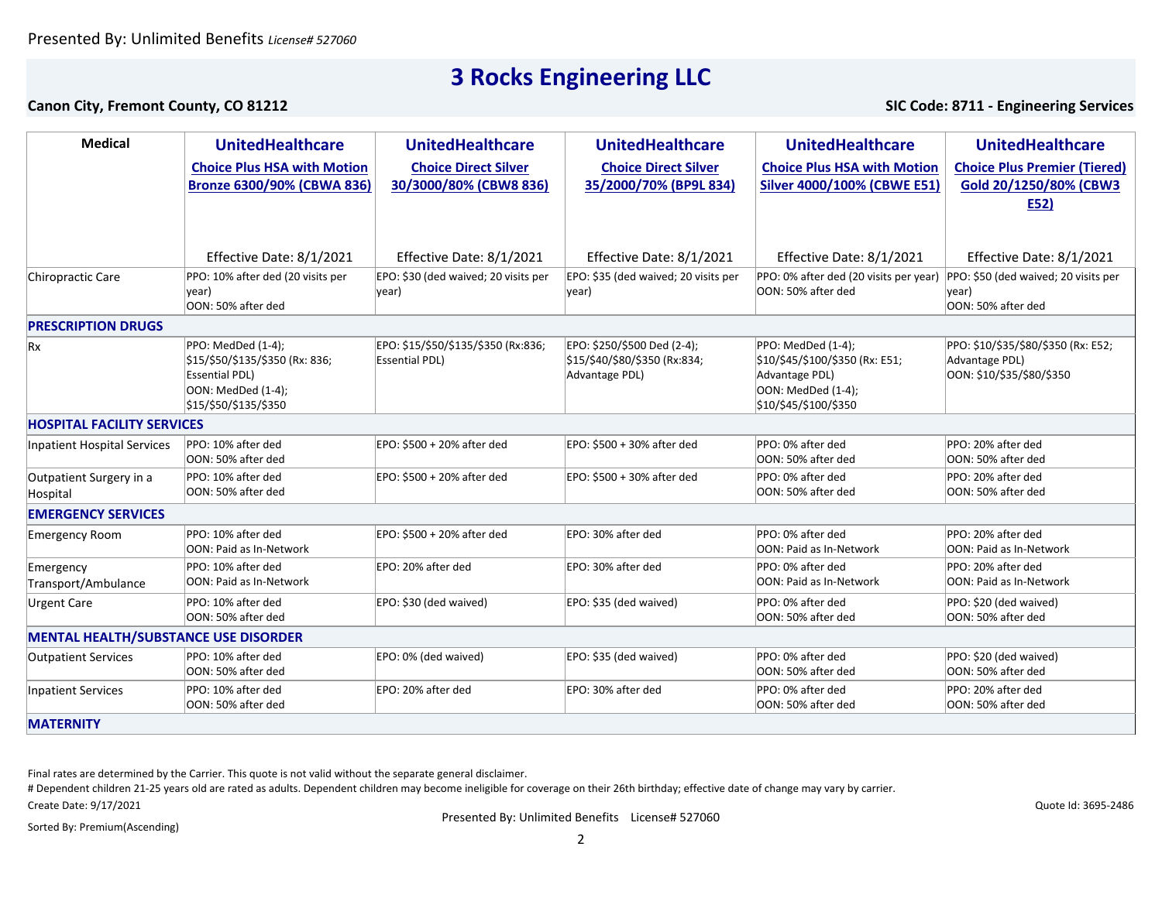### **Canon City, Fremont County, CO 81212 SIC Code: 8711 - Engineering Services**

| <b>Medical</b>                              | <b>UnitedHealthcare</b>                                                                                                       | <b>UnitedHealthcare</b>                                      | <b>UnitedHealthcare</b>                                                        | <b>UnitedHealthcare</b>                                                                                                | <b>UnitedHealthcare</b>                                                            |  |  |
|---------------------------------------------|-------------------------------------------------------------------------------------------------------------------------------|--------------------------------------------------------------|--------------------------------------------------------------------------------|------------------------------------------------------------------------------------------------------------------------|------------------------------------------------------------------------------------|--|--|
|                                             | <b>Choice Plus HSA with Motion</b><br><b>Bronze 6300/90% (CBWA 836)</b>                                                       | <b>Choice Direct Silver</b><br>30/3000/80% (CBW8 836)        | <b>Choice Direct Silver</b><br>35/2000/70% (BP9L 834)                          | <b>Choice Plus HSA with Motion</b><br><b>Silver 4000/100% (CBWE E51)</b>                                               | <b>Choice Plus Premier (Tiered)</b><br>Gold 20/1250/80% (CBW3<br>E52)              |  |  |
|                                             | Effective Date: 8/1/2021                                                                                                      | Effective Date: 8/1/2021                                     | Effective Date: 8/1/2021                                                       | Effective Date: 8/1/2021                                                                                               | Effective Date: 8/1/2021                                                           |  |  |
| <b>Chiropractic Care</b>                    | PPO: 10% after ded (20 visits per<br> year)<br>OON: 50% after ded                                                             | EPO: \$30 (ded waived; 20 visits per<br>year)                | EPO: \$35 (ded waived; 20 visits per<br>year)                                  | PPO: 0% after ded (20 visits per year)<br>OON: 50% after ded                                                           | PPO: \$50 (ded waived; 20 visits per<br>year)<br>OON: 50% after ded                |  |  |
| <b>PRESCRIPTION DRUGS</b>                   |                                                                                                                               |                                                              |                                                                                |                                                                                                                        |                                                                                    |  |  |
| Rx                                          | PPO: MedDed (1-4);<br>\$15/\$50/\$135/\$350 (Rx: 836;<br><b>Essential PDL)</b><br>OON: MedDed (1-4);<br>\$15/\$50/\$135/\$350 | EPO: \$15/\$50/\$135/\$350 (Rx:836;<br><b>Essential PDL)</b> | EPO: \$250/\$500 Ded (2-4);<br>\$15/\$40/\$80/\$350 (Rx:834;<br>Advantage PDL) | PPO: MedDed (1-4);<br>\$10/\$45/\$100/\$350 (Rx: E51;<br>Advantage PDL)<br>OON: MedDed (1-4);<br>\$10/\$45/\$100/\$350 | PPO: \$10/\$35/\$80/\$350 (Rx: E52;<br>Advantage PDL)<br>OON: \$10/\$35/\$80/\$350 |  |  |
| <b>HOSPITAL FACILITY SERVICES</b>           |                                                                                                                               |                                                              |                                                                                |                                                                                                                        |                                                                                    |  |  |
| <b>Inpatient Hospital Services</b>          | PPO: 10% after ded<br>OON: 50% after ded                                                                                      | EPO: \$500 + 20% after ded                                   | EPO: \$500 + 30% after ded                                                     | PPO: 0% after ded<br>OON: 50% after ded                                                                                | PPO: 20% after ded<br>OON: 50% after ded                                           |  |  |
| Outpatient Surgery in a<br>Hospital         | PPO: 10% after ded<br>OON: 50% after ded                                                                                      | EPO: \$500 + 20% after ded                                   | EPO: \$500 + 30% after ded                                                     | PPO: 0% after ded<br>OON: 50% after ded                                                                                | PPO: 20% after ded<br>OON: 50% after ded                                           |  |  |
| <b>EMERGENCY SERVICES</b>                   |                                                                                                                               |                                                              |                                                                                |                                                                                                                        |                                                                                    |  |  |
| <b>Emergency Room</b>                       | PPO: 10% after ded<br><b>OON: Paid as In-Network</b>                                                                          | EPO: \$500 + 20% after ded                                   | EPO: 30% after ded                                                             | PPO: 0% after ded<br>OON: Paid as In-Network                                                                           | PPO: 20% after ded<br><b>OON: Paid as In-Network</b>                               |  |  |
| Emergency<br>Transport/Ambulance            | PPO: 10% after ded<br>OON: Paid as In-Network                                                                                 | EPO: 20% after ded                                           | EPO: 30% after ded                                                             | PPO: 0% after ded<br>OON: Paid as In-Network                                                                           | PPO: 20% after ded<br>OON: Paid as In-Network                                      |  |  |
| <b>Urgent Care</b>                          | PPO: 10% after ded<br>OON: 50% after ded                                                                                      | EPO: \$30 (ded waived)                                       | EPO: \$35 (ded waived)                                                         | PPO: 0% after ded<br>OON: 50% after ded                                                                                | PPO: \$20 (ded waived)<br>OON: 50% after ded                                       |  |  |
| <b>MENTAL HEALTH/SUBSTANCE USE DISORDER</b> |                                                                                                                               |                                                              |                                                                                |                                                                                                                        |                                                                                    |  |  |
| <b>Outpatient Services</b>                  | PPO: 10% after ded<br>OON: 50% after ded                                                                                      | EPO: 0% (ded waived)                                         | EPO: \$35 (ded waived)                                                         | PPO: 0% after ded<br>OON: 50% after ded                                                                                | PPO: \$20 (ded waived)<br>OON: 50% after ded                                       |  |  |
| <b>Inpatient Services</b>                   | PPO: 10% after ded<br>OON: 50% after ded                                                                                      | EPO: 20% after ded                                           | EPO: 30% after ded                                                             | PPO: 0% after ded<br>OON: 50% after ded                                                                                | PPO: 20% after ded<br>OON: 50% after ded                                           |  |  |
| <b>MATERNITY</b>                            |                                                                                                                               |                                                              |                                                                                |                                                                                                                        |                                                                                    |  |  |

Final rates are determined by the Carrier. This quote is not valid without the separate general disclaimer.

Create Date: 9/17/2021 # Dependent children 21-25 years old are rated as adults. Dependent children may become ineligible for coverage on their 26th birthday; effective date of change may vary by carrier.

Presented By: Unlimited Benefits License# 527060

Sorted By: Premium(Ascending)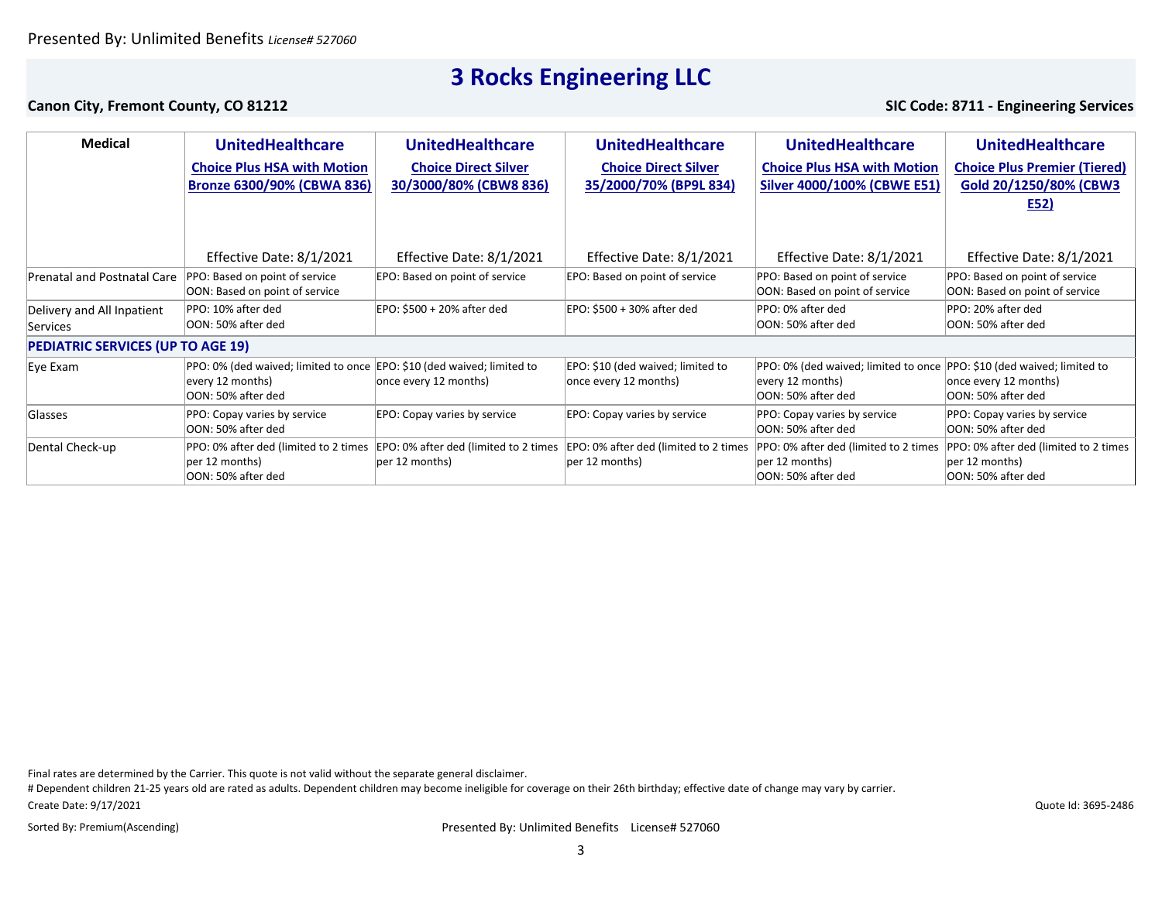### **Canon City, Fremont County, CO 81212 SIC Code: 8711 - Engineering Services**

| <b>Medical</b>                                | <b>UnitedHealthcare</b>                                                        | <b>UnitedHealthcare</b>                                    | <b>UnitedHealthcare</b>                                    | <b>UnitedHealthcare</b>                                                        | <b>UnitedHealthcare</b>                                                          |  |  |
|-----------------------------------------------|--------------------------------------------------------------------------------|------------------------------------------------------------|------------------------------------------------------------|--------------------------------------------------------------------------------|----------------------------------------------------------------------------------|--|--|
|                                               | <b>Choice Plus HSA with Motion</b><br>Bronze 6300/90% (CBWA 836)               | <b>Choice Direct Silver</b><br>30/3000/80% (CBW8 836)      | <b>Choice Direct Silver</b><br>35/2000/70% (BP9L 834)      | <b>Choice Plus HSA with Motion</b><br><b>Silver 4000/100% (CBWE E51)</b>       | <b>Choice Plus Premier (Tiered)</b><br>Gold 20/1250/80% (CBW3<br>E52)            |  |  |
|                                               | Effective Date: 8/1/2021                                                       | Effective Date: 8/1/2021                                   | Effective Date: 8/1/2021                                   | Effective Date: 8/1/2021                                                       | Effective Date: 8/1/2021                                                         |  |  |
| <b>Prenatal and Postnatal Care</b>            | PPO: Based on point of service<br>OON: Based on point of service               | EPO: Based on point of service                             | EPO: Based on point of service                             | PPO: Based on point of service<br>OON: Based on point of service               | PPO: Based on point of service<br>OON: Based on point of service                 |  |  |
| Delivery and All Inpatient<br><b>Services</b> | PPO: 10% after ded<br>OON: 50% after ded                                       | EPO: \$500 + 20% after ded                                 | EPO: \$500 + 30% after ded                                 | PPO: 0% after ded<br>OON: 50% after ded                                        | PPO: 20% after ded<br>OON: 50% after ded                                         |  |  |
| <b>PEDIATRIC SERVICES (UP TO AGE 19)</b>      |                                                                                |                                                            |                                                            |                                                                                |                                                                                  |  |  |
| Eye Exam                                      | PPO: 0% (ded waived; limited to once<br>every 12 months)<br>OON: 50% after ded | EPO: \$10 (ded waived; limited to<br>once every 12 months) | EPO: \$10 (ded waived; limited to<br>once every 12 months) | PPO: 0% (ded waived; limited to once<br>every 12 months)<br>OON: 50% after ded | PPO: \$10 (ded waived; limited to<br>once every 12 months)<br>OON: 50% after ded |  |  |
| Glasses                                       | PPO: Copay varies by service<br>OON: 50% after ded                             | EPO: Copay varies by service                               | EPO: Copay varies by service                               | PPO: Copay varies by service<br>OON: 50% after ded                             | PPO: Copay varies by service<br>OON: 50% after ded                               |  |  |
| Dental Check-up                               | PPO: 0% after ded (limited to 2 times<br>per 12 months)<br>OON: 50% after ded  | EPO: 0% after ded (limited to 2 times<br>per 12 months)    | EPO: 0% after ded (limited to 2 times<br>per 12 months)    | PPO: 0% after ded (limited to 2 times<br>per 12 months)<br>OON: 50% after ded  | PPO: 0% after ded (limited to 2 times<br>per 12 months)<br>OON: 50% after ded    |  |  |

Final rates are determined by the Carrier. This quote is not valid without the separate general disclaimer.

Create Date: 9/17/2021 # Dependent children 21-25 years old are rated as adults. Dependent children may become ineligible for coverage on their 26th birthday; effective date of change may vary by carrier.

Sorted By: Premium(Ascending)

Presented By: Unlimited Benefits License# 527060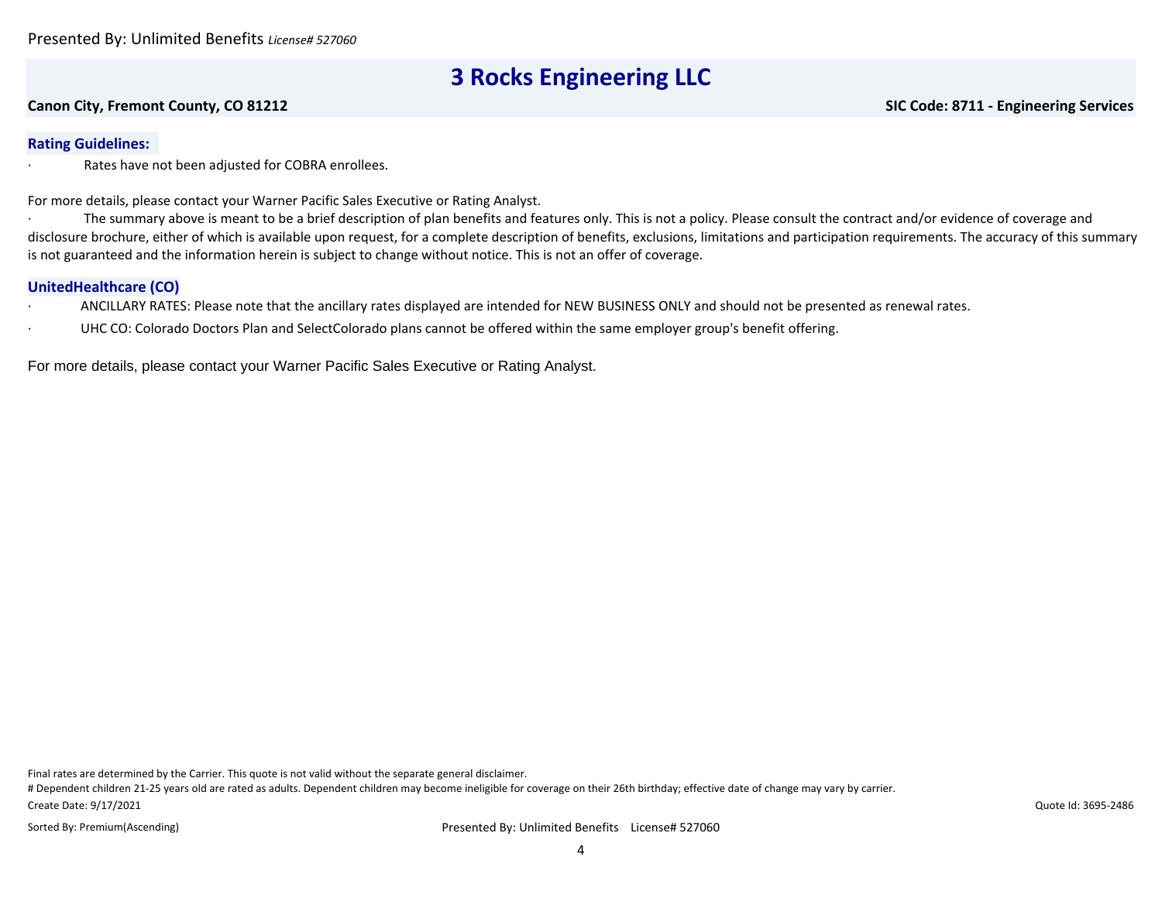#### **Canon City, Fremont County, CO 81212 SIC Code: 8711 - Engineering Services**

### **Rating Guidelines:**

Rates have not been adjusted for COBRA enrollees.

For more details, please contact your Warner Pacific Sales Executive or Rating Analyst.

· The summary above is meant to be a brief description of plan benefits and features only. This is not a policy. Please consult the contract and/or evidence of coverage and disclosure brochure, either of which is available upon request, for a complete description of benefits, exclusions, limitations and participation requirements. The accuracy of this summary is not guaranteed and the information herein is subject to change without notice. This is not an offer of coverage.

#### **UnitedHealthcare (CO)**

- · ANCILLARY RATES: Please note that the ancillary rates displayed are intended for NEW BUSINESS ONLY and should not be presented as renewal rates.
- UHC CO: Colorado Doctors Plan and SelectColorado plans cannot be offered within the same employer group's benefit offering.

For more details, please contact your Warner Pacific Sales Executive or Rating Analyst.

Final rates are determined by the Carrier. This quote is not valid without the separate general disclaimer.

Create Date: 9/17/2021 # Dependent children 21-25 years old are rated as adults. Dependent children may become ineligible for coverage on their 26th birthday; effective date of change may vary by carrier.

Sorted By: Premium(Ascending)

Presented By: Unlimited Benefits License# 527060

Quote Id: 3695-2486